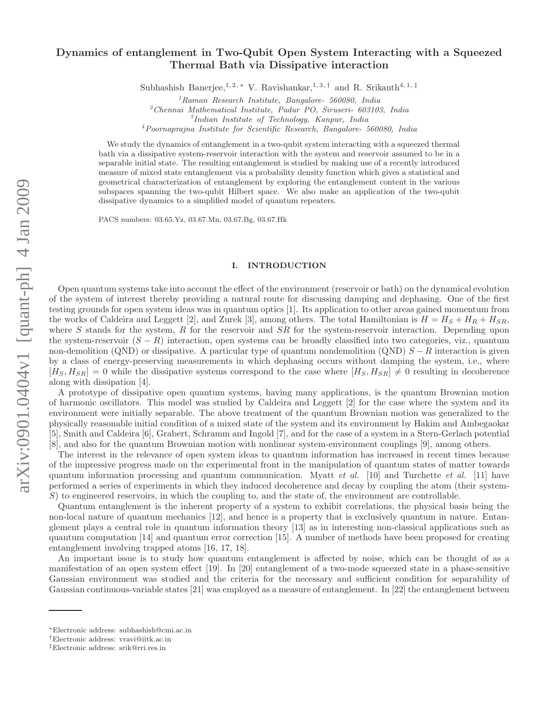# Dynamics of entanglement in Two-Qubit Open System Interacting with a Squeezed Thermal Bath via Dissipative interaction

Subhashish Banerjee,<sup>1, 2, \*</sup> V. Ravishankar,<sup>1, 3, †</sup> and R. Srikanth<sup>4, 1, ‡</sup>

 $2$ Chennai Mathematical Institute, Padur PO, Siruseri- 603103, India

3 Indian Institute of Technology, Kanpur, India

<sup>4</sup>Poornaprajna Institute for Scientific Research, Bangalore- 560080, India

We study the dynamics of entanglement in a two-qubit system interacting with a squeezed thermal bath via a dissipative system-reservoir interaction with the system and reservoir assumed to be in a separable initial state. The resulting entanglement is studied by making use of a recently introduced measure of mixed state entanglement via a probability density function which gives a statistical and geometrical characterization of entanglement by exploring the entanglement content in the various subspaces spanning the two-qubit Hilbert space. We also make an application of the two-qubit dissipative dynamics to a simplified model of quantum repeaters.

PACS numbers: 03.65.Yz, 03.67.Mn, 03.67.Bg, 03.67.Hk

## I. INTRODUCTION

Open quantum systems take into account the effect of the environment (reservoir or bath) on the dynamical evolution of the system of interest thereby providing a natural route for discussing damping and dephasing. One of the first testing grounds for open system ideas was in quantum optics [1]. Its application to other areas gained momentum from the works of Caldeira and Leggett [2], and Zurek [3], among others. The total Hamiltonian is  $H = H_S + H_R + H_{SR}$ , where S stands for the system, R for the reservoir and  $SR$  for the system-reservoir interaction. Depending upon the system-reservoir  $(S - R)$  interaction, open systems can be broadly classified into two categories, viz., quantum non-demolition (QND) or dissipative. A particular type of quantum nondemolition (QND)  $S - R$  interaction is given by a class of energy-preserving measurements in which dephasing occurs without damping the system, i.e., where  $[H_S, H_{SR}] = 0$  while the dissipative systems correspond to the case where  $[H_S, H_{SR}] \neq 0$  resulting in decoherence along with dissipation [4].

A prototype of dissipative open quantum systems, having many applications, is the quantum Brownian motion of harmonic oscillators. This model was studied by Caldeira and Leggett [2] for the case where the system and its environment were initially separable. The above treatment of the quantum Brownian motion was generalized to the physically reasonable initial condition of a mixed state of the system and its environment by Hakim and Ambegaokar [5], Smith and Caldeira [6], Grabert, Schramm and Ingold [7], and for the case of a system in a Stern-Gerlach potential [8], and also for the quantum Brownian motion with nonlinear system-environment couplings [9], among others.

The interest in the relevance of open system ideas to quantum information has increased in recent times because of the impressive progress made on the experimental front in the manipulation of quantum states of matter towards quantum information processing and quantum communication. Myatt *et al.* [10] and Turchette *et al.* [11] have performed a series of experiments in which they induced decoherence and decay by coupling the atom (their system- $S$ ) to engineered reservoirs, in which the coupling to, and the state of, the environment are controllable.

Quantum entanglement is the inherent property of a system to exhibit correlations, the physical basis being the non-local nature of quantum mechanics [12], and hence is a property that is exclusively quantum in nature. Entanglement plays a central role in quantum information theory [13] as in interesting non-classical applications such as quantum computation [14] and quantum error correction [15]. A number of methods have been proposed for creating entanglement involving trapped atoms [16, 17, 18].

An important issue is to study how quantum entanglement is affected by noise, which can be thought of as a manifestation of an open system effect [19]. In [20] entanglement of a two-mode squeezed state in a phase-sensitive Gaussian environment was studied and the criteria for the necessary and sufficient condition for separability of Gaussian continuous-variable states [21] was employed as a measure of entanglement. In [22] the entanglement between

 $1$ Raman Research Institute, Bangalore- 560080, India

<sup>∗</sup>Electronic address: subhashish@cmi.ac.in

<sup>†</sup>Electronic address: vravi@iitk.ac.in

<sup>‡</sup>Electronic address: srik@rri.res.in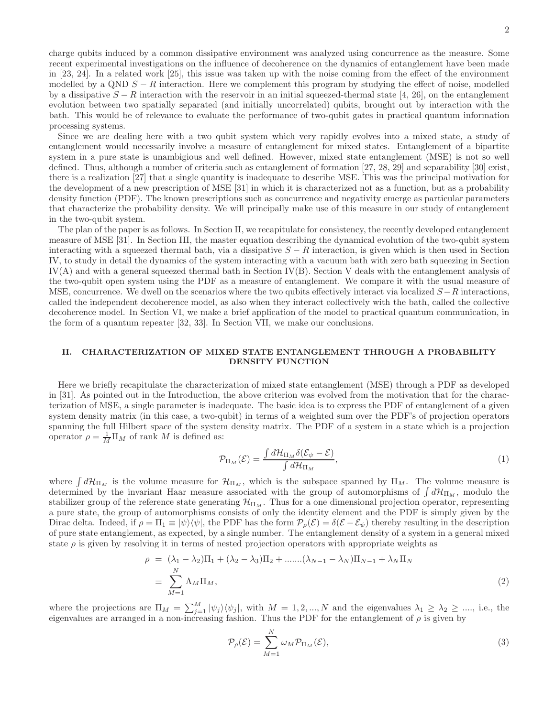charge qubits induced by a common dissipative environment was analyzed using concurrence as the measure. Some recent experimental investigations on the influence of decoherence on the dynamics of entanglement have been made in [23, 24]. In a related work [25], this issue was taken up with the noise coming from the effect of the environment modelled by a QND  $S - R$  interaction. Here we complement this program by studying the effect of noise, modelled by a dissipative  $S - R$  interaction with the reservoir in an initial squeezed-thermal state [4, 26], on the entanglement evolution between two spatially separated (and initially uncorrelated) qubits, brought out by interaction with the bath. This would be of relevance to evaluate the performance of two-qubit gates in practical quantum information processing systems.

Since we are dealing here with a two qubit system which very rapidly evolves into a mixed state, a study of entanglement would necessarily involve a measure of entanglement for mixed states. Entanglement of a bipartite system in a pure state is unambigious and well defined. However, mixed state entanglement (MSE) is not so well defined. Thus, although a number of criteria such as entanglement of formation [27, 28, 29] and separability [30] exist, there is a realization [27] that a single quantity is inadequate to describe MSE. This was the principal motivation for the development of a new prescription of MSE [31] in which it is characterized not as a function, but as a probability density function (PDF). The known prescriptions such as concurrence and negativity emerge as particular parameters that characterize the probability density. We will principally make use of this measure in our study of entanglement in the two-qubit system.

The plan of the paper is as follows. In Section II, we recapitulate for consistency, the recently developed entanglement measure of MSE [31]. In Section III, the master equation describing the dynamical evolution of the two-qubit system interacting with a squeezed thermal bath, via a dissipative  $S - R$  interaction, is given which is then used in Section IV, to study in detail the dynamics of the system interacting with a vacuum bath with zero bath squeezing in Section  $IV(A)$  and with a general squeezed thermal bath in Section IV(B). Section V deals with the entanglement analysis of the two-qubit open system using the PDF as a measure of entanglement. We compare it with the usual measure of MSE, concurrence. We dwell on the scenarios where the two qubits effectively interact via localized  $S-R$  interactions, called the independent decoherence model, as also when they interact collectively with the bath, called the collective decoherence model. In Section VI, we make a brief application of the model to practical quantum communication, in the form of a quantum repeater [32, 33]. In Section VII, we make our conclusions.

# II. CHARACTERIZATION OF MIXED STATE ENTANGLEMENT THROUGH A PROBABILITY DENSITY FUNCTION

Here we briefly recapitulate the characterization of mixed state entanglement (MSE) through a PDF as developed in [31]. As pointed out in the Introduction, the above criterion was evolved from the motivation that for the characterization of MSE, a single parameter is inadequate. The basic idea is to express the PDF of entanglement of a given system density matrix (in this case, a two-qubit) in terms of a weighted sum over the PDF's of projection operators spanning the full Hilbert space of the system density matrix. The PDF of a system in a state which is a projection operator  $\rho = \frac{1}{M} \Pi_M$  of rank M is defined as:

$$
\mathcal{P}_{\Pi_M}(\mathcal{E}) = \frac{\int d\mathcal{H}_{\Pi_M} \delta(\mathcal{E}_{\psi} - \mathcal{E})}{\int d\mathcal{H}_{\Pi_M}},\tag{1}
$$

where  $\int d\mathcal{H}_{\Pi_M}$  is the volume measure for  $\mathcal{H}_{\Pi_M}$ , which is the subspace spanned by  $\Pi_M$ . The volume measure is determined by the invariant Haar measure associated with the group of automorphisms of  $\int d\mathcal{H}_{\Pi_M}$ , modulo the stabilizer group of the reference state generating  $\mathcal{H}_{\Pi_M}$ . Thus for a one dimensional projection operator, representing a pure state, the group of automorphisms consists of only the identity element and the PDF is simply given by the Dirac delta. Indeed, if  $\rho = \Pi_1 \equiv |\psi\rangle\langle\psi|$ , the PDF has the form  $\mathcal{P}_{\rho}(\mathcal{E}) = \delta(\mathcal{E} - \mathcal{E}_{\psi})$  thereby resulting in the description of pure state entanglement, as expected, by a single number. The entanglement density of a system in a general mixed state  $\rho$  is given by resolving it in terms of nested projection operators with appropriate weights as

$$
\rho = (\lambda_1 - \lambda_2)\Pi_1 + (\lambda_2 - \lambda_3)\Pi_2 + \dots + (\lambda_{N-1} - \lambda_N)\Pi_{N-1} + \lambda_N\Pi_N
$$
  
\n
$$
\equiv \sum_{M=1}^{N} \Lambda_M\Pi_M,
$$
\n(2)

where the projections are  $\Pi_M = \sum_{j=1}^M |\psi_j\rangle\langle\psi_j|$ , with  $M = 1, 2, ..., N$  and the eigenvalues  $\lambda_1 \geq \lambda_2 \geq ...$ , i.e., the eigenvalues are arranged in a non-increasing fashion. Thus the PDF for the entanglement of  $\rho$  is given by

$$
\mathcal{P}_{\rho}(\mathcal{E}) = \sum_{M=1}^{N} \omega_M \mathcal{P}_{\Pi_M}(\mathcal{E}),\tag{3}
$$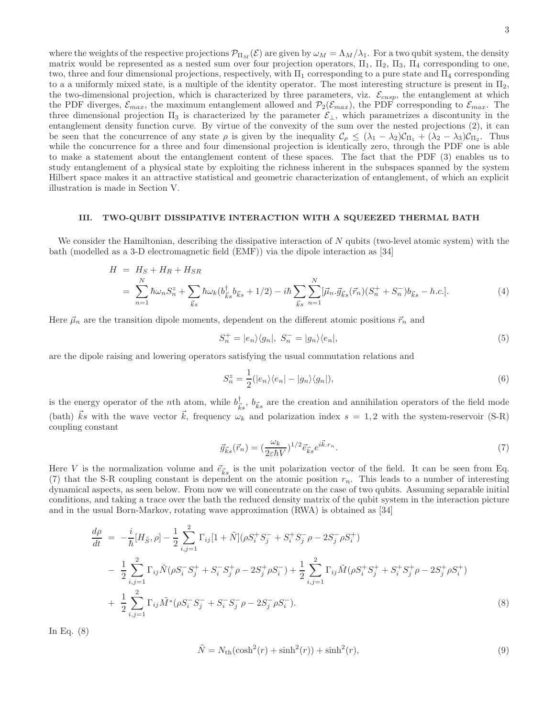where the weights of the respective projections  $\mathcal{P}_{\Pi_M}(\mathcal{E})$  are given by  $\omega_M = \Lambda_M/\lambda_1$ . For a two qubit system, the density matrix would be represented as a nested sum over four projection operators,  $\Pi_1$ ,  $\Pi_2$ ,  $\Pi_3$ ,  $\Pi_4$  corresponding to one, two, three and four dimensional projections, respectively, with  $\Pi_1$  corresponding to a pure state and  $\Pi_4$  corresponding to a a uniformly mixed state, is a multiple of the identity operator. The most interesting structure is present in  $\Pi_2$ , the two-dimensional projection, which is characterized by three parameters, viz.  $\mathcal{E}_{cusp}$ , the entanglement at which the PDF diverges,  $\mathcal{E}_{max}$ , the maximum entanglement allowed and  $\mathcal{P}_2(\mathcal{E}_{max})$ , the PDF corresponding to  $\mathcal{E}_{max}$ . The three dimensional projection  $\Pi_3$  is characterized by the parameter  $\mathcal{E}_\perp$ , which parametrizes a discontunity in the entanglement density function curve. By virtue of the convexity of the sum over the nested projections (2), it can be seen that the concurrence of any state  $\rho$  is given by the inequality  $\mathcal{C}_{\rho} \leq (\lambda_1 - \lambda_2)\mathcal{C}_{\Pi_1} + (\lambda_2 - \lambda_3)\mathcal{C}_{\Pi_2}$ . Thus while the concurrence for a three and four dimensional projection is identically zero, through the PDF one is able to make a statement about the entanglement content of these spaces. The fact that the PDF (3) enables us to study entanglement of a physical state by exploiting the richness inherent in the subspaces spanned by the system Hilbert space makes it an attractive statistical and geometric characterization of entanglement, of which an explicit illustration is made in Section V.

## III. TWO-QUBIT DISSIPATIVE INTERACTION WITH A SQUEEZED THERMAL BATH

We consider the Hamiltonian, describing the dissipative interaction of N qubits (two-level atomic system) with the bath (modelled as a 3-D electromagnetic field (EMF)) via the dipole interaction as [34]

$$
H = H_S + H_R + H_{SR}
$$
  
=  $\sum_{n=1}^{N} \hbar \omega_n S_n^z + \sum_{\vec{k}s} \hbar \omega_k (b_{\vec{k}s}^{\dagger} b_{\vec{k}s} + 1/2) - i\hbar \sum_{\vec{k}s} \sum_{n=1}^{N} [\vec{\mu}_n \cdot \vec{g}_{\vec{k}s}(\vec{r}_n)(S_n^+ + S_n^-) b_{\vec{k}s} - h.c.].$  (4)

Here  $\vec{\mu}_n$  are the transition dipole moments, dependent on the different atomic positions  $\vec{r}_n$  and

$$
S_n^+ = |e_n\rangle\langle g_n|, \ S_n^- = |g_n\rangle\langle e_n|,\tag{5}
$$

are the dipole raising and lowering operators satisfying the usual commutation relations and

$$
S_n^z = \frac{1}{2} (|e_n\rangle\langle e_n| - |g_n\rangle\langle g_n|),\tag{6}
$$

is the energy operator of the *n*th atom, while  $b^{\dagger}_{\bar{i}}$  $\bar{k}_s$ ,  $b_{\vec{k}s}$  are the creation and annihilation operators of the field mode (bath)  $\vec{k}s$  with the wave vector  $\vec{k}$ , frequency  $\omega_k$  and polarization index  $s = 1, 2$  with the system-reservoir (S-R) coupling constant

$$
\vec{g}_{\vec{k}s}(\vec{r}_n) = \left(\frac{\omega_k}{2\varepsilon\hbar V}\right)^{1/2} \vec{e}_{\vec{k}s} e^{i\vec{k} \cdot r_n}.\tag{7}
$$

Here V is the normalization volume and  $\vec{e}_{\vec{k}s}$  is the unit polarization vector of the field. It can be seen from Eq. (7) that the S-R coupling constant is dependent on the atomic position  $r_n$ . This leads to a number of interesting dynamical aspects, as seen below. From now we will concentrate on the case of two qubits. Assuming separable initial conditions, and taking a trace over the bath the reduced density matrix of the qubit system in the interaction picture and in the usual Born-Markov, rotating wave approximation (RWA) is obtained as [34]

$$
\frac{d\rho}{dt} = -\frac{i}{\hbar} [H_{\tilde{S}}, \rho] - \frac{1}{2} \sum_{i,j=1}^{2} \Gamma_{ij} [1 + \tilde{N}] (\rho S_i^+ S_j^- + S_i^+ S_j^- \rho - 2S_j^- \rho S_i^+ ) \n- \frac{1}{2} \sum_{i,j=1}^{2} \Gamma_{ij} \tilde{N} (\rho S_i^- S_j^+ + S_i^- S_j^+ \rho - 2S_j^+ \rho S_i^-) + \frac{1}{2} \sum_{i,j=1}^{2} \Gamma_{ij} \tilde{M} (\rho S_i^+ S_j^+ + S_i^+ S_j^+ \rho - 2S_j^+ \rho S_i^+ ) \n+ \frac{1}{2} \sum_{i,j=1}^{2} \Gamma_{ij} \tilde{M}^* (\rho S_i^- S_j^- + S_i^- S_j^- \rho - 2S_j^- \rho S_i^- ).
$$
\n(8)

In Eq. (8)

$$
\tilde{N} = N_{\text{th}}(\cosh^2(r) + \sinh^2(r)) + \sinh^2(r),\tag{9}
$$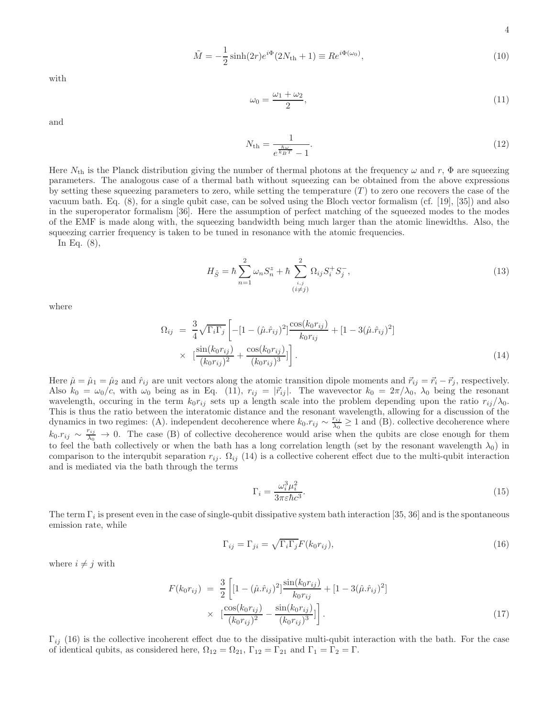$$
4\phantom{1}
$$

$$
\tilde{M} = -\frac{1}{2}\sinh(2r)e^{i\Phi}(2N_{\text{th}} + 1) \equiv Re^{i\Phi(\omega_0)},\tag{10}
$$

with

$$
\omega_0 = \frac{\omega_1 + \omega_2}{2},\tag{11}
$$

and

$$
N_{\rm th} = \frac{1}{e^{\frac{\hbar \omega}{k_B T}} - 1}.
$$
\n(12)

Here  $N_{\text{th}}$  is the Planck distribution giving the number of thermal photons at the frequency  $\omega$  and r,  $\Phi$  are squeezing parameters. The analogous case of a thermal bath without squeezing can be obtained from the above expressions by setting these squeezing parameters to zero, while setting the temperature  $(T)$  to zero one recovers the case of the vacuum bath. Eq. (8), for a single qubit case, can be solved using the Bloch vector formalism (cf. [19], [35]) and also in the superoperator formalism [36]. Here the assumption of perfect matching of the squeezed modes to the modes of the EMF is made along with, the squeezing bandwidth being much larger than the atomic linewidths. Also, the squeezing carrier frequency is taken to be tuned in resonance with the atomic frequencies.

In Eq. (8),

$$
H_{\tilde{S}} = \hbar \sum_{n=1}^{2} \omega_n S_n^z + \hbar \sum_{\substack{i,j \\ (i \neq j)}}^{2} \Omega_{ij} S_i^+ S_j^-, \qquad (13)
$$

where

$$
\Omega_{ij} = \frac{3}{4} \sqrt{\Gamma_i \Gamma_j} \left[ -[1 - (\hat{\mu} \cdot \hat{r}_{ij})^2] \frac{\cos(k_0 r_{ij})}{k_0 r_{ij}} + [1 - 3(\hat{\mu} \cdot \hat{r}_{ij})^2] \right] \times \left[ \frac{\sin(k_0 r_{ij})}{(k_0 r_{ij})^2} + \frac{\cos(k_0 r_{ij})}{(k_0 r_{ij})^3} \right].
$$
\n(14)

Here  $\hat{\mu} = \hat{\mu}_1 = \hat{\mu}_2$  and  $\hat{r}_{ij}$  are unit vectors along the atomic transition dipole moments and  $\vec{r}_{ij} = \vec{r}_i - \vec{r}_j$ , respectively. Also  $k_0 = \omega_0/c$ , with  $\omega_0$  being as in Eq. (11),  $r_{ij} = |\vec{r}_{ij}|$ . The wavevector  $k_0 = 2\pi/\lambda_0$ ,  $\lambda_0$  being the resonant wavelength, occuring in the term  $k_0r_{ij}$  sets up a length scale into the problem depending upon the ratio  $r_{ij}/\lambda_0$ . This is thus the ratio between the interatomic distance and the resonant wavelength, allowing for a discussion of the dynamics in two regimes: (A). independent decoherence where  $k_0.r_{ij} \sim \frac{r_{ij}}{\lambda_0}$  $\frac{\sum_{i,j}}{\lambda_0} \geq 1$  and (B). collective decoherence where  $k_0.r_{ij} \sim \frac{r_{ij}}{\lambda_0} \to 0$ . The case (B) of collective decoherence would arise when the qubits are close enough for them to feel the bath collectively or when the bath has a long correlation length (set by the resonant wavelength  $\lambda_0$ ) in comparison to the interqubit separation  $r_{ij}$ .  $\Omega_{ij}$  (14) is a collective coherent effect due to the multi-qubit interaction and is mediated via the bath through the terms

$$
\Gamma_i = \frac{\omega_i^3 \mu_i^2}{3\pi \varepsilon \hbar c^3}.\tag{15}
$$

The term  $\Gamma_i$  is present even in the case of single-qubit dissipative system bath interaction [35, 36] and is the spontaneous emission rate, while

$$
\Gamma_{ij} = \Gamma_{ji} = \sqrt{\Gamma_i \Gamma_j} F(k_0 r_{ij}),\tag{16}
$$

where  $i \neq j$  with

$$
F(k_0r_{ij}) = \frac{3}{2} \left[ [1 - (\hat{\mu}.\hat{r}_{ij})^2] \frac{\sin(k_0r_{ij})}{k_0r_{ij}} + [1 - 3(\hat{\mu}.\hat{r}_{ij})^2] \times \left[ \frac{\cos(k_0r_{ij})}{(k_0r_{ij})^2} - \frac{\sin(k_0r_{ij})}{(k_0r_{ij})^3} \right] \right].
$$
\n(17)

 $\Gamma_{ij}$  (16) is the collective incoherent effect due to the dissipative multi-qubit interaction with the bath. For the case of identical qubits, as considered here,  $\Omega_{12} = \Omega_{21}$ ,  $\Gamma_{12} = \Gamma_{21}$  and  $\Gamma_1 = \Gamma_2 = \Gamma$ .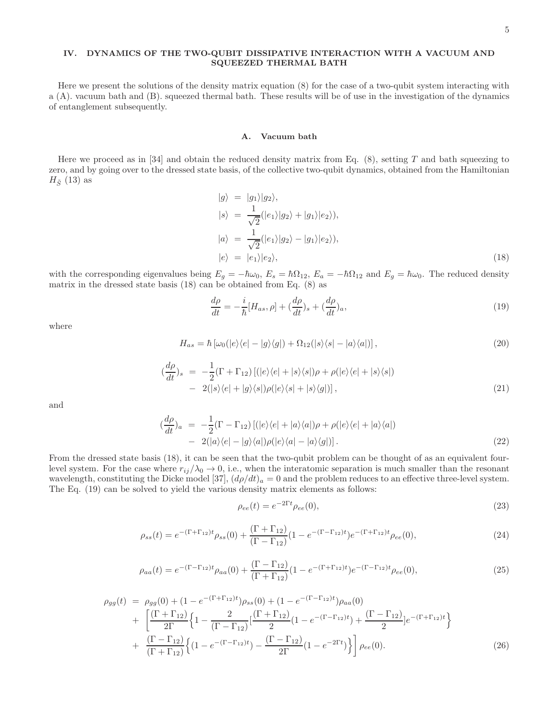# IV. DYNAMICS OF THE TWO-QUBIT DISSIPATIVE INTERACTION WITH A VACUUM AND SQUEEZED THERMAL BATH

Here we present the solutions of the density matrix equation (8) for the case of a two-qubit system interacting with a (A). vacuum bath and (B). squeezed thermal bath. These results will be of use in the investigation of the dynamics of entanglement subsequently.

## A. Vacuum bath

Here we proceed as in [34] and obtain the reduced density matrix from Eq.  $(8)$ , setting T and bath squeezing to zero, and by going over to the dressed state basis, of the collective two-qubit dynamics, obtained from the Hamiltonian  $H_{\tilde{S}}$  (13) as

$$
|g\rangle = |g_1\rangle|g_2\rangle,
$$
  
\n
$$
|s\rangle = \frac{1}{\sqrt{2}}(|e_1\rangle|g_2\rangle + |g_1\rangle|e_2\rangle),
$$
  
\n
$$
|a\rangle = \frac{1}{\sqrt{2}}(|e_1\rangle|g_2\rangle - |g_1\rangle|e_2\rangle),
$$
  
\n
$$
|e\rangle = |e_1\rangle|e_2\rangle,
$$
\n(18)

with the corresponding eigenvalues being  $E_g = -\hbar\omega_0$ ,  $E_s = \hbar\Omega_{12}$ ,  $E_a = -\hbar\Omega_{12}$  and  $E_g = \hbar\omega_0$ . The reduced density matrix in the dressed state basis (18) can be obtained from Eq. (8) as

$$
\frac{d\rho}{dt} = -\frac{i}{\hbar} [H_{as}, \rho] + (\frac{d\rho}{dt})_s + (\frac{d\rho}{dt})_a,\tag{19}
$$

where

$$
H_{as} = \hbar \left[ \omega_0(|e\rangle\langle e| - |g\rangle\langle g|) + \Omega_{12}(|s\rangle\langle s| - |a\rangle\langle a|) \right],\tag{20}
$$

$$
\begin{aligned} (\frac{d\rho}{dt})_s &= -\frac{1}{2} (\Gamma + \Gamma_{12}) \left[ (|e\rangle\langle e| + |s\rangle\langle s|) \rho + \rho(|e\rangle\langle e| + |s\rangle\langle s|) \right] \\ &- 2(|s\rangle\langle e| + |g\rangle\langle s|) \rho(|e\rangle\langle s| + |s\rangle\langle g|) \right], \end{aligned} \tag{21}
$$

and

$$
\left(\frac{d\rho}{dt}\right)_a = -\frac{1}{2}(\Gamma - \Gamma_{12})\left[\left(|e\rangle\langle e| + |a\rangle\langle a|\right)\rho + \rho(|e\rangle\langle e| + |a\rangle\langle a|\right) - 2(|a\rangle\langle e| - |g\rangle\langle a|\right)\rho(|e\rangle\langle a| - |a\rangle\langle g|)\right].\tag{22}
$$

From the dressed state basis (18), it can be seen that the two-qubit problem can be thought of as an equivalent fourlevel system. For the case where  $r_{ij}/\lambda_0 \rightarrow 0$ , i.e., when the interatomic separation is much smaller than the resonant wavelength, constituting the Dicke model [37],  $(d\rho/dt)_a = 0$  and the problem reduces to an effective three-level system. The Eq. (19) can be solved to yield the various density matrix elements as follows:

$$
\rho_{ee}(t) = e^{-2\Gamma t} \rho_{ee}(0),\tag{23}
$$

$$
\rho_{ss}(t) = e^{-(\Gamma + \Gamma_{12})t} \rho_{ss}(0) + \frac{(\Gamma + \Gamma_{12})}{(\Gamma - \Gamma_{12})} (1 - e^{-(\Gamma - \Gamma_{12})t}) e^{-(\Gamma + \Gamma_{12})t} \rho_{ee}(0), \tag{24}
$$

$$
\rho_{aa}(t) = e^{-(\Gamma - \Gamma_{12})t} \rho_{aa}(0) + \frac{(\Gamma - \Gamma_{12})}{(\Gamma + \Gamma_{12})} (1 - e^{-(\Gamma + \Gamma_{12})t}) e^{-(\Gamma - \Gamma_{12})t} \rho_{ee}(0), \tag{25}
$$

$$
\rho_{gg}(t) = \rho_{gg}(0) + (1 - e^{-(\Gamma + \Gamma_{12})t})\rho_{ss}(0) + (1 - e^{-(\Gamma - \Gamma_{12})t})\rho_{aa}(0) \n+ \left[ \frac{(\Gamma + \Gamma_{12})}{2\Gamma} \left\{ 1 - \frac{2}{(\Gamma - \Gamma_{12})} \left[ \frac{(\Gamma + \Gamma_{12})}{2} (1 - e^{-(\Gamma - \Gamma_{12})t}) + \frac{(\Gamma - \Gamma_{12})}{2} \right] e^{-(\Gamma + \Gamma_{12})t} \right\} \n+ \frac{(\Gamma - \Gamma_{12})}{(\Gamma + \Gamma_{12})} \left\{ (1 - e^{-(\Gamma - \Gamma_{12})t}) - \frac{(\Gamma - \Gamma_{12})}{2\Gamma} (1 - e^{-2\Gamma t}) \right\} \right] \rho_{ee}(0).
$$
\n(26)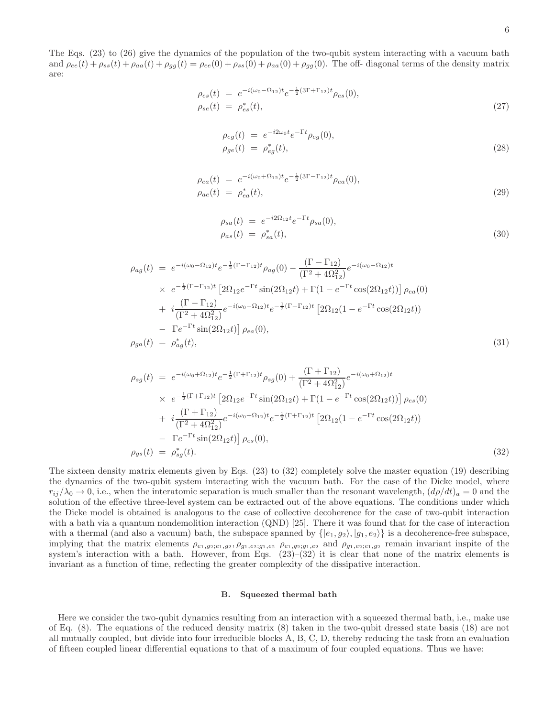The Eqs. (23) to (26) give the dynamics of the population of the two-qubit system interacting with a vacuum bath and  $\rho_{ee}(t) + \rho_{ss}(t) + \rho_{aa}(t) + \rho_{gg}(t) = \rho_{ee}(0) + \rho_{ss}(0) + \rho_{aa}(0) + \rho_{gg}(0)$ . The off- diagonal terms of the density matrix are:

$$
\rho_{es}(t) = e^{-i(\omega_0 - \Omega_{12})t} e^{-\frac{1}{2}(3\Gamma + \Gamma_{12})t} \rho_{es}(0), \n\rho_{se}(t) = \rho_{es}^*(t),
$$
\n(27)

$$
\rho_{eg}(t) = e^{-i2\omega_0 t} e^{-\Gamma t} \rho_{eg}(0),
$$
  
\n
$$
\rho_{ge}(t) = \rho_{eg}^*(t),
$$
\n(28)

$$
\rho_{ea}(t) = e^{-i(\omega_0 + \Omega_{12})t} e^{-\frac{1}{2}(3\Gamma - \Gamma_{12})t} \rho_{ea}(0),
$$
  
\n
$$
\rho_{ae}(t) = \rho_{ea}^*(t),
$$
\n(29)

$$
\rho_{sa}(t) = e^{-i2\Omega_{12}t}e^{-\Gamma t}\rho_{sa}(0), \n\rho_{as}(t) = \rho_{sa}^*(t),
$$
\n(30)

$$
\rho_{ag}(t) = e^{-i(\omega_0 - \Omega_{12})t} e^{-\frac{1}{2}(\Gamma - \Gamma_{12})t} \rho_{ag}(0) - \frac{(\Gamma - \Gamma_{12})}{(\Gamma^2 + 4\Omega_{12}^2)} e^{-i(\omega_0 - \Omega_{12})t}
$$
  
\n
$$
\times e^{-\frac{1}{2}(\Gamma - \Gamma_{12})t} \left[ 2\Omega_{12} e^{-\Gamma t} \sin(2\Omega_{12}t) + \Gamma(1 - e^{-\Gamma t} \cos(2\Omega_{12}t)) \right] \rho_{ea}(0)
$$
  
\n
$$
+ i \frac{(\Gamma - \Gamma_{12})}{(\Gamma^2 + 4\Omega_{12}^2)} e^{-i(\omega_0 - \Omega_{12})t} e^{-\frac{1}{2}(\Gamma - \Gamma_{12})t} \left[ 2\Omega_{12}(1 - e^{-\Gamma t} \cos(2\Omega_{12}t)) \right]
$$
  
\n
$$
- \Gamma e^{-\Gamma t} \sin(2\Omega_{12}t) \rho_{ea}(0),
$$
  
\n
$$
\rho_{ga}(t) = \rho_{ag}^*(t),
$$
\n(31)

$$
\rho_{sg}(t) = e^{-i(\omega_0 + \Omega_{12})t} e^{-\frac{1}{2}(\Gamma + \Gamma_{12})t} \rho_{sg}(0) + \frac{(\Gamma + \Gamma_{12})}{(\Gamma^2 + 4\Omega_{12}^2)} e^{-i(\omega_0 + \Omega_{12})t}
$$
  
\n
$$
\times e^{-\frac{1}{2}(\Gamma + \Gamma_{12})t} \left[ 2\Omega_{12} e^{-\Gamma t} \sin(2\Omega_{12}t) + \Gamma(1 - e^{-\Gamma t} \cos(2\Omega_{12}t)) \right] \rho_{es}(0)
$$
  
\n
$$
+ i \frac{(\Gamma + \Gamma_{12})}{(\Gamma^2 + 4\Omega_{12}^2)} e^{-i(\omega_0 + \Omega_{12})t} e^{-\frac{1}{2}(\Gamma + \Gamma_{12})t} \left[ 2\Omega_{12}(1 - e^{-\Gamma t} \cos(2\Omega_{12}t)) \right]
$$
  
\n
$$
- \Gamma e^{-\Gamma t} \sin(2\Omega_{12}t) \rho_{es}(0),
$$
  
\n
$$
\rho_{gs}(t) = \rho_{sg}^*(t).
$$
  
\n(32)

The sixteen density matrix elements given by Eqs. (23) to (32) completely solve the master equation (19) describing the dynamics of the two-qubit system interacting with the vacuum bath. For the case of the Dicke model, where  $r_{ij}/\lambda_0 \to 0$ , i.e., when the interatomic separation is much smaller than the resonant wavelength,  $(d\rho/dt)_a = 0$  and the solution of the effective three-level system can be extracted out of the above equations. The conditions under which the Dicke model is obtained is analogous to the case of collective decoherence for the case of two-qubit interaction with a bath via a quantum nondemolition interaction (QND) [25]. There it was found that for the case of interaction with a thermal (and also a vacuum) bath, the subspace spanned by  $\{|e_1, g_2\rangle, |g_1, e_2\rangle\}$  is a decoherence-free subspace, implying that the matrix elements  $\rho_{e_1,g_2,e_1,g_2}$ ,  $\rho_{g_1,e_2,g_1,e_2}$   $\rho_{e_1,g_2,g_1,e_2}$  and  $\rho_{g_1,e_2,e_1,g_2}$  remain invariant inspite of the system's interaction with a bath. However, from Eqs. (23)–(32) it is clear that none of the matrix elements is invariant as a function of time, reflecting the greater complexity of the dissipative interaction.

#### B. Squeezed thermal bath

Here we consider the two-qubit dynamics resulting from an interaction with a squeezed thermal bath, i.e., make use of Eq. (8). The equations of the reduced density matrix (8) taken in the two-qubit dressed state basis (18) are not all mutually coupled, but divide into four irreducible blocks A, B, C, D, thereby reducing the task from an evaluation of fifteen coupled linear differential equations to that of a maximum of four coupled equations. Thus we have: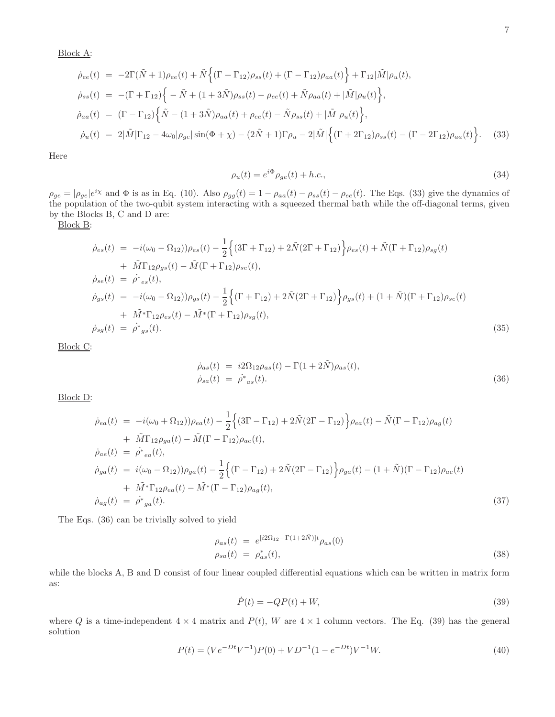$$
\dot{\rho}_{ee}(t) = -2\Gamma(\tilde{N}+1)\rho_{ee}(t) + \tilde{N}\left\{ (\Gamma + \Gamma_{12})\rho_{ss}(t) + (\Gamma - \Gamma_{12})\rho_{aa}(t) \right\} + \Gamma_{12}|\tilde{M}|\rho_{u}(t),
$$
\n
$$
\dot{\rho}_{ss}(t) = -(\Gamma + \Gamma_{12})\left\{ -\tilde{N} + (1+3\tilde{N})\rho_{ss}(t) - \rho_{ee}(t) + \tilde{N}\rho_{aa}(t) + |\tilde{M}|\rho_{u}(t) \right\},
$$
\n
$$
\dot{\rho}_{aa}(t) = (\Gamma - \Gamma_{12})\left\{ \tilde{N} - (1+3\tilde{N})\rho_{aa}(t) + \rho_{ee}(t) - \tilde{N}\rho_{ss}(t) + |\tilde{M}|\rho_{u}(t) \right\},
$$
\n
$$
\dot{\rho}_{u}(t) = 2|\tilde{M}|\Gamma_{12} - 4\omega_{0}|\rho_{ge}|\sin(\Phi + \chi) - (2\tilde{N} + 1)\Gamma\rho_{u} - 2|\tilde{M}|\left\{ (\Gamma + 2\Gamma_{12})\rho_{ss}(t) - (\Gamma - 2\Gamma_{12})\rho_{aa}(t) \right\}.
$$
\n(33)

Here

$$
\rho_u(t) = e^{i\Phi}\rho_{ge}(t) + h.c.,\tag{34}
$$

 $\rho_{ge} = |\rho_{ge}|e^{i\chi}$  and  $\Phi$  is as in Eq. (10). Also  $\rho_{gg}(t) = 1 - \rho_{aa}(t) - \rho_{ss}(t) - \rho_{ee}(t)$ . The Eqs. (33) give the dynamics of the population of the two-qubit system interacting with a squeezed thermal bath while the off-diagonal terms, given by the Blocks B, C and D are:

Block B:

$$
\dot{\rho}_{es}(t) = -i(\omega_0 - \Omega_{12}))\rho_{es}(t) - \frac{1}{2}\Big\{(3\Gamma + \Gamma_{12}) + 2\tilde{N}(2\Gamma + \Gamma_{12})\Big\}\rho_{es}(t) + \tilde{N}(\Gamma + \Gamma_{12})\rho_{sg}(t) \n+ \tilde{M}\Gamma_{12}\rho_{gs}(t) - \tilde{M}(\Gamma + \Gamma_{12})\rho_{se}(t), \n\dot{\rho}_{se}(t) = \dot{\rho}^*{}_{es}(t), \n\dot{\rho}_{gs}(t) = -i(\omega_0 - \Omega_{12}))\rho_{gs}(t) - \frac{1}{2}\Big\{(\Gamma + \Gamma_{12}) + 2\tilde{N}(2\Gamma + \Gamma_{12})\Big\}\rho_{gs}(t) + (1 + \tilde{N})(\Gamma + \Gamma_{12})\rho_{se}(t) \n+ \tilde{M}^*\Gamma_{12}\rho_{es}(t) - \tilde{M}^*(\Gamma + \Gamma_{12})\rho_{sg}(t), \n\dot{\rho}_{sg}(t) = \dot{\rho}^*{}_{gs}(t).
$$
\n(35)

Block C:

$$
\dot{\rho}_{as}(t) = i2\Omega_{12}\rho_{as}(t) - \Gamma(1+2\tilde{N})\rho_{as}(t),
$$
  
\n
$$
\dot{\rho}_{sa}(t) = \dot{\rho}^*_{as}(t).
$$
\n(36)

Block D:

$$
\dot{\rho}_{ea}(t) = -i(\omega_0 + \Omega_{12}))\rho_{ea}(t) - \frac{1}{2}\Big\{(3\Gamma - \Gamma_{12}) + 2\tilde{N}(2\Gamma - \Gamma_{12})\Big\}\rho_{ea}(t) - \tilde{N}(\Gamma - \Gamma_{12})\rho_{ag}(t) \n+ \tilde{M}\Gamma_{12}\rho_{ga}(t) - \tilde{M}(\Gamma - \Gamma_{12})\rho_{ae}(t), \n\dot{\rho}_{ae}(t) = \dot{\rho}^*{}_{ea}(t), \n\dot{\rho}_{ga}(t) = i(\omega_0 - \Omega_{12}))\rho_{ga}(t) - \frac{1}{2}\Big\{(\Gamma - \Gamma_{12}) + 2\tilde{N}(2\Gamma - \Gamma_{12})\Big\}\rho_{ga}(t) - (1 + \tilde{N})(\Gamma - \Gamma_{12})\rho_{ae}(t) \n+ \tilde{M}^*\Gamma_{12}\rho_{ea}(t) - \tilde{M}^*(\Gamma - \Gamma_{12})\rho_{ag}(t), \n\dot{\rho}_{ag}(t) = \dot{\rho}^*{}_{ga}(t).
$$
\n(37)

The Eqs. (36) can be trivially solved to yield

$$
\rho_{as}(t) = e^{[i2\Omega_{12} - \Gamma(1+2\tilde{N})]t} \rho_{as}(0)
$$
  
\n
$$
\rho_{sa}(t) = \rho_{as}^*(t),
$$
\n(38)

while the blocks A, B and D consist of four linear coupled differential equations which can be written in matrix form as:

$$
\dot{P}(t) = -QP(t) + W,\tag{39}
$$

where Q is a time-independent  $4 \times 4$  matrix and  $P(t)$ , W are  $4 \times 1$  column vectors. The Eq. (39) has the general solution

$$
P(t) = (Ve^{-Dt}V^{-1})P(0) + V D^{-1} (1 - e^{-Dt})V^{-1}W.
$$
\n(40)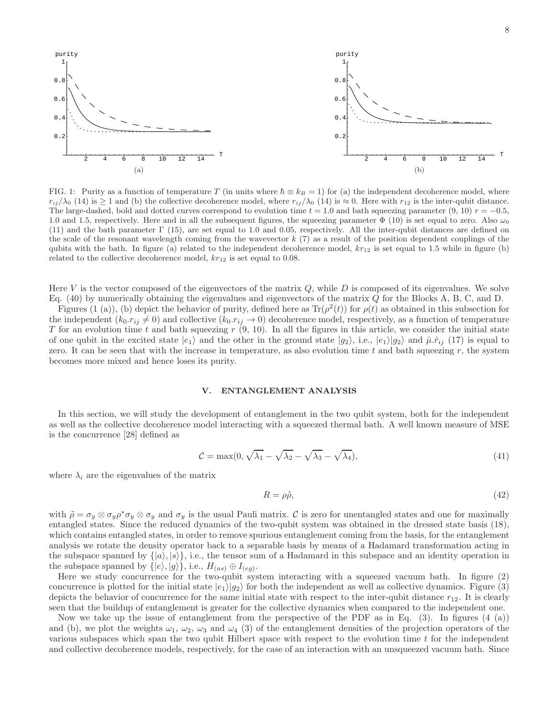8



FIG. 1: Purity as a function of temperature T (in units where  $\hbar \equiv k_B = 1$ ) for (a) the independent decoherence model, where  $r_{ij}/\lambda_0$  (14) is  $\geq 1$  and (b) the collective decoherence model, where  $r_{ij}/\lambda_0$  (14) is  $\approx 0$ . Here with  $r_{12}$  is the inter-qubit distance. The large-dashed, bold and dotted curves correspond to evolution time  $t = 1.0$  and bath squeezing parameter  $(9, 10)$   $r = -0.5$ , 1.0 and 1.5, respectively. Here and in all the subsequent figures, the squeezing parameter  $\Phi$  (10) is set equal to zero. Also  $\omega_0$ (11) and the bath parameter Γ (15), are set equal to 1.0 and 0.05, respectively. All the inter-qubit distances are defined on the scale of the resonant wavelength coming from the wavevector  $k(7)$  as a result of the position dependent couplings of the qubits with the bath. In figure (a) related to the independent decoherence model,  $kr_{12}$  is set equal to 1.5 while in figure (b) related to the collective decoherence model,  $kr_{12}$  is set equal to 0.08.

Here V is the vector composed of the eigenvectors of the matrix  $Q$ , while D is composed of its eigenvalues. We solve Eq.  $(40)$  by numerically obtaining the eigenvalues and eigenvectors of the matrix Q for the Blocks A, B, C, and D.

Figures (1 (a)), (b) depict the behavior of purity, defined here as  $\text{Tr}(\rho^2(t))$  for  $\rho(t)$  as obtained in this subsection for the independent  $(k_0.r_{ij} \neq 0)$  and collective  $(k_0.r_{ij} \rightarrow 0)$  decoherence model, respectively, as a function of temperature T for an evolution time t and bath squeezing  $r(9, 10)$ . In all the figures in this article, we consider the initial state of one qubit in the excited state  $|e_1\rangle$  and the other in the ground state  $|g_2\rangle$ , i.e.,  $|e_1\rangle|g_2\rangle$  and  $\hat{\mu}.\hat{r}_{ij}$  (17) is equal to zero. It can be seen that with the increase in temperature, as also evolution time t and bath squeezing  $r$ , the system becomes more mixed and hence loses its purity.

#### V. ENTANGLEMENT ANALYSIS

In this section, we will study the development of entanglement in the two qubit system, both for the independent as well as the collective decoherence model interacting with a squeezed thermal bath. A well known measure of MSE is the concurrence [28] defined as

$$
C = \max(0, \sqrt{\lambda_1} - \sqrt{\lambda_2} - \sqrt{\lambda_3} - \sqrt{\lambda_4}), \tag{41}
$$

where  $\lambda_i$  are the eigenvalues of the matrix

$$
R = \rho \tilde{\rho},\tag{42}
$$

with  $\tilde{\rho} = \sigma_y \otimes \sigma_y \rho^* \sigma_y \otimes \sigma_y$  and  $\sigma_y$  is the usual Pauli matrix.  $\mathcal{C}$  is zero for unentangled states and one for maximally entangled states. Since the reduced dynamics of the two-qubit system was obtained in the dressed state basis (18), which contains entangled states, in order to remove spurious entanglement coming from the basis, for the entanglement analysis we rotate the density operator back to a separable basis by means of a Hadamard transformation acting in the subspace spanned by  $\{|a\rangle, |s\rangle\}$ , i.e., the tensor sum of a Hadamard in this subspace and an identity operation in the subspace spanned by  $\{|e\rangle, |g\rangle\}$ , i.e.,  $H_{(as)} \oplus I_{(eg)}$ .

Here we study concurrence for the two-qubit system interacting with a squeezed vacuum bath. In figure (2) concurrence is plotted for the initial state  $|e_1\rangle|g_2\rangle$  for both the independent as well as collective dynamics. Figure (3) depicts the behavior of concurrence for the same initial state with respect to the inter-qubit distance  $r_{12}$ . It is clearly seen that the buildup of entanglement is greater for the collective dynamics when compared to the independent one.

Now we take up the issue of entanglement from the perspective of the PDF as in Eq.  $(3)$ . In figures  $(4 \text{ (a)})$ and (b), we plot the weights  $\omega_1$ ,  $\omega_2$ ,  $\omega_3$  and  $\omega_4$  (3) of the entanglement densities of the projection operators of the various subspaces which span the two qubit Hilbert space with respect to the evolution time t for the independent and collective decoherence models, respectively, for the case of an interaction with an unsqueezed vacuum bath. Since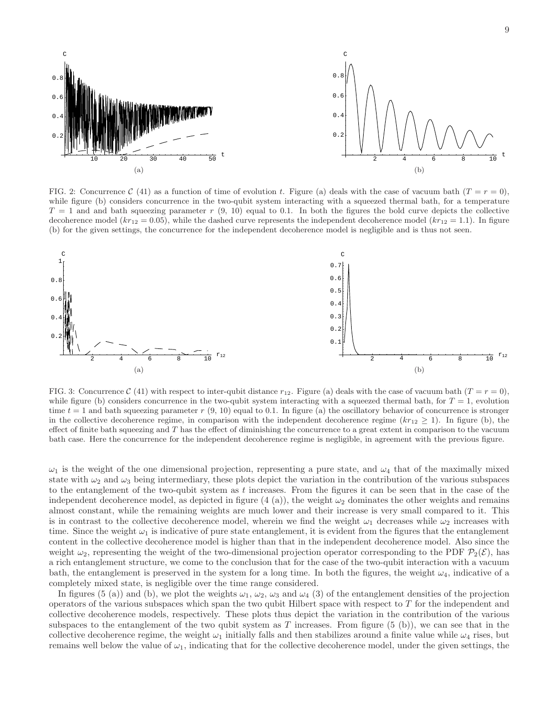

FIG. 2: Concurrence C (41) as a function of time of evolution t. Figure (a) deals with the case of vacuum bath  $(T = r = 0)$ , while figure (b) considers concurrence in the two-qubit system interacting with a squeezed thermal bath, for a temperature  $T = 1$  and and bath squeezing parameter r  $(9, 10)$  equal to 0.1. In both the figures the bold curve depicts the collective decoherence model  $(kr_{12} = 0.05)$ , while the dashed curve represents the independent decoherence model  $(kr_{12} = 1.1)$ . In figure (b) for the given settings, the concurrence for the independent decoherence model is negligible and is thus not seen.



FIG. 3: Concurrence C (41) with respect to inter-qubit distance  $r_{12}$ . Figure (a) deals with the case of vacuum bath  $(T = r = 0)$ , while figure (b) considers concurrence in the two-qubit system interacting with a squeezed thermal bath, for  $T = 1$ , evolution time  $t = 1$  and bath squeezing parameter  $r(9, 10)$  equal to 0.1. In figure (a) the oscillatory behavior of concurrence is stronger in the collective decoherence regime, in comparison with the independent decoherence regime  $(kr_{12} \geq 1)$ . In figure (b), the effect of finite bath squeezing and  $T$  has the effect of diminishing the concurrence to a great extent in comparison to the vacuum bath case. Here the concurrence for the independent decoherence regime is negligible, in agreement with the previous figure.

 $\omega_1$  is the weight of the one dimensional projection, representing a pure state, and  $\omega_4$  that of the maximally mixed state with  $\omega_2$  and  $\omega_3$  being intermediary, these plots depict the variation in the contribution of the various subspaces to the entanglement of the two-qubit system as  $t$  increases. From the figures it can be seen that in the case of the independent decoherence model, as depicted in figure  $(4 \text{ (a)}),$  the weight  $\omega_2$  dominates the other weights and remains almost constant, while the remaining weights are much lower and their increase is very small compared to it. This is in contrast to the collective decoherence model, wherein we find the weight  $\omega_1$  decreases while  $\omega_2$  increases with time. Since the weight  $\omega_1$  is indicative of pure state entanglement, it is evident from the figures that the entanglement content in the collective decoherence model is higher than that in the independent decoherence model. Also since the weight  $\omega_2$ , representing the weight of the two-dimensional projection operator corresponding to the PDF  $\mathcal{P}_2(\mathcal{E})$ , has a rich entanglement structure, we come to the conclusion that for the case of the two-qubit interaction with a vacuum bath, the entanglement is preserved in the system for a long time. In both the figures, the weight  $\omega_4$ , indicative of a completely mixed state, is negligible over the time range considered.

In figures (5 (a)) and (b), we plot the weights  $\omega_1$ ,  $\omega_2$ ,  $\omega_3$  and  $\omega_4$  (3) of the entanglement densities of the projection operators of the various subspaces which span the two qubit Hilbert space with respect to  $T$  for the independent and collective decoherence models, respectively. These plots thus depict the variation in the contribution of the various subspaces to the entanglement of the two qubit system as T increases. From figure  $(5 \n(b))$ , we can see that in the collective decoherence regime, the weight  $\omega_1$  initially falls and then stabilizes around a finite value while  $\omega_4$  rises, but remains well below the value of  $\omega_1$ , indicating that for the collective decoherence model, under the given settings, the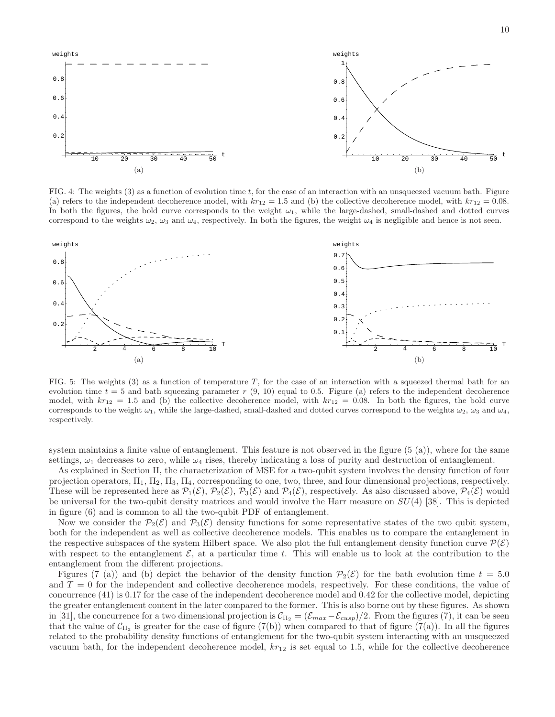

FIG. 4: The weights  $(3)$  as a function of evolution time t, for the case of an interaction with an unsqueezed vacuum bath. Figure (a) refers to the independent decoherence model, with  $kr_{12} = 1.5$  and (b) the collective decoherence model, with  $kr_{12} = 0.08$ . In both the figures, the bold curve corresponds to the weight  $\omega_1$ , while the large-dashed, small-dashed and dotted curves correspond to the weights  $\omega_2$ ,  $\omega_3$  and  $\omega_4$ , respectively. In both the figures, the weight  $\omega_4$  is negligible and hence is not seen.



FIG. 5: The weights  $(3)$  as a function of temperature T, for the case of an interaction with a squeezed thermal bath for an evolution time  $t = 5$  and bath squeezing parameter r  $(9, 10)$  equal to 0.5. Figure (a) refers to the independent decoherence model, with  $kr_{12} = 1.5$  and (b) the collective decoherence model, with  $kr_{12} = 0.08$ . In both the figures, the bold curve corresponds to the weight  $\omega_1$ , while the large-dashed, small-dashed and dotted curves correspond to the weights  $\omega_2$ ,  $\omega_3$  and  $\omega_4$ , respectively.

system maintains a finite value of entanglement. This feature is not observed in the figure (5 (a)), where for the same settings,  $\omega_1$  decreases to zero, while  $\omega_4$  rises, thereby indicating a loss of purity and destruction of entanglement.

As explained in Section II, the characterization of MSE for a two-qubit system involves the density function of four projection operators,  $\Pi_1$ ,  $\Pi_2$ ,  $\Pi_3$ ,  $\Pi_4$ , corresponding to one, two, three, and four dimensional projections, respectively. These will be represented here as  $\mathcal{P}_1(\mathcal{E}), \mathcal{P}_2(\mathcal{E}), \mathcal{P}_3(\mathcal{E})$  and  $\mathcal{P}_4(\mathcal{E}),$  respectively. As also discussed above,  $\mathcal{P}_4(\mathcal{E})$  would be universal for the two-qubit density matrices and would involve the Harr measure on  $SU(4)$  [38]. This is depicted in figure (6) and is common to all the two-qubit PDF of entanglement.

Now we consider the  $\mathcal{P}_2(\mathcal{E})$  and  $\mathcal{P}_3(\mathcal{E})$  density functions for some representative states of the two qubit system, both for the independent as well as collective decoherence models. This enables us to compare the entanglement in the respective subspaces of the system Hilbert space. We also plot the full entanglement density function curve  $\mathcal{P}(\mathcal{E})$ with respect to the entanglement  $\mathcal{E}$ , at a particular time t. This will enable us to look at the contribution to the entanglement from the different projections.

Figures (7 (a)) and (b) depict the behavior of the density function  $\mathcal{P}_2(\mathcal{E})$  for the bath evolution time  $t = 5.0$ and  $T = 0$  for the independent and collective decoherence models, respectively. For these conditions, the value of concurrence (41) is 0.17 for the case of the independent decoherence model and 0.42 for the collective model, depicting the greater entanglement content in the later compared to the former. This is also borne out by these figures. As shown in [31], the concurrence for a two dimensional projection is  $\mathcal{C}_{\Pi_2} = (\mathcal{E}_{max}-\mathcal{E}_{cusp})/2$ . From the figures (7), it can be seen that the value of  $C_{\Pi_2}$  is greater for the case of figure (7(b)) when compared to that of figure (7(a)). In all the figures related to the probability density functions of entanglement for the two-qubit system interacting with an unsqueezed vacuum bath, for the independent decoherence model,  $kr_{12}$  is set equal to 1.5, while for the collective decoherence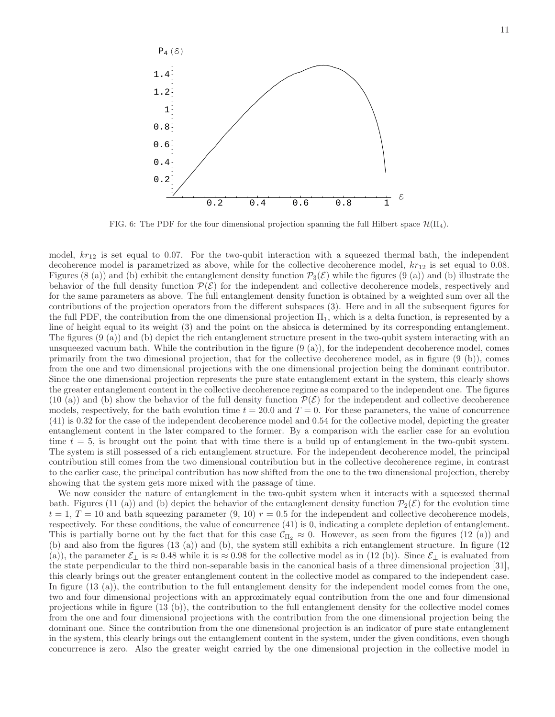

FIG. 6: The PDF for the four dimensional projection spanning the full Hilbert space  $\mathcal{H}(\Pi_4)$ .

model,  $kr_{12}$  is set equal to 0.07. For the two-qubit interaction with a squeezed thermal bath, the independent decoherence model is parametrized as above, while for the collective decoherence model,  $kr_{12}$  is set equal to 0.08. Figures (8 (a)) and (b) exhibit the entanglement density function  $P_3(\mathcal{E})$  while the figures (9 (a)) and (b) illustrate the behavior of the full density function  $\mathcal{P}(\mathcal{E})$  for the independent and collective decoherence models, respectively and for the same parameters as above. The full entanglement density function is obtained by a weighted sum over all the contributions of the projection operators from the different subspaces (3). Here and in all the subsequent figures for the full PDF, the contribution from the one dimensional projection  $\Pi_1$ , which is a delta function, is represented by a line of height equal to its weight (3) and the point on the absicca is determined by its corresponding entanglement. The figures (9 (a)) and (b) depict the rich entanglement structure present in the two-qubit system interacting with an unsqueezed vacuum bath. While the contribution in the figure  $(9 \text{ (a)}),$  for the independent decoherence model, comes primarily from the two dimesional projection, that for the collective decoherence model, as in figure (9 (b)), comes from the one and two dimensional projections with the one dimensional projection being the dominant contributor. Since the one dimensional projection represents the pure state entanglement extant in the system, this clearly shows the greater entanglement content in the collective decoherence regime as compared to the independent one. The figures (10 (a)) and (b) show the behavior of the full density function  $\mathcal{P}(\mathcal{E})$  for the independent and collective decoherence models, respectively, for the bath evolution time  $t = 20.0$  and  $T = 0$ . For these parameters, the value of concurrence (41) is 0.32 for the case of the independent decoherence model and 0.54 for the collective model, depicting the greater entanglement content in the later compared to the former. By a comparison with the earlier case for an evolution time  $t = 5$ , is brought out the point that with time there is a build up of entanglement in the two-qubit system. The system is still possessed of a rich entanglement structure. For the independent decoherence model, the principal contribution still comes from the two dimensional contribution but in the collective decoherence regime, in contrast to the earlier case, the principal contribution has now shifted from the one to the two dimensional projection, thereby showing that the system gets more mixed with the passage of time.

We now consider the nature of entanglement in the two-qubit system when it interacts with a squeezed thermal bath. Figures (11 (a)) and (b) depict the behavior of the entanglement density function  $\mathcal{P}_2(\mathcal{E})$  for the evolution time  $t = 1, T = 10$  and bath squeezing parameter (9, 10)  $r = 0.5$  for the independent and collective decoherence models, respectively. For these conditions, the value of concurrence (41) is 0, indicating a complete depletion of entanglement. This is partially borne out by the fact that for this case  $\mathcal{C}_{\Pi_2} \approx 0$ . However, as seen from the figures (12 (a)) and (b) and also from the figures (13 (a)) and (b), the system still exhibits a rich entanglement structure. In figure (12 (a)), the parameter  $\mathcal{E}_\perp$  is  $\approx 0.48$  while it is  $\approx 0.98$  for the collective model as in (12 (b)). Since  $\mathcal{E}_\perp$  is evaluated from the state perpendicular to the third non-separable basis in the canonical basis of a three dimensional projection [31], this clearly brings out the greater entanglement content in the collective model as compared to the independent case. In figure (13 (a)), the contribution to the full entanglement density for the independent model comes from the one, two and four dimensional projections with an approximately equal contribution from the one and four dimensional projections while in figure (13 (b)), the contribution to the full entanglement density for the collective model comes from the one and four dimensional projections with the contribution from the one dimensional projection being the dominant one. Since the contribution from the one dimensional projection is an indicator of pure state entanglement in the system, this clearly brings out the entanglement content in the system, under the given conditions, even though concurrence is zero. Also the greater weight carried by the one dimensional projection in the collective model in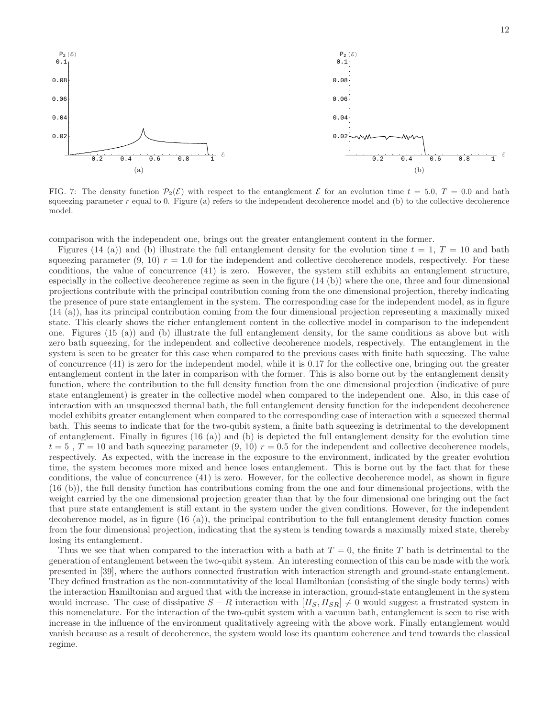

FIG. 7: The density function  $\mathcal{P}_2(\mathcal{E})$  with respect to the entanglement  $\mathcal{E}$  for an evolution time  $t = 5.0$ ,  $T = 0.0$  and bath squeezing parameter r equal to 0. Figure (a) refers to the independent decoherence model and (b) to the collective decoherence model.

comparison with the independent one, brings out the greater entanglement content in the former.

Figures (14 (a)) and (b) illustrate the full entanglement density for the evolution time  $t = 1, T = 10$  and bath squeezing parameter  $(9, 10)$   $r = 1.0$  for the independent and collective decoherence models, respectively. For these conditions, the value of concurrence (41) is zero. However, the system still exhibits an entanglement structure, especially in the collective decoherence regime as seen in the figure  $(14 \text{ (b)})$  where the one, three and four dimensional projections contribute with the principal contribution coming from the one dimensional projection, thereby indicating the presence of pure state entanglement in the system. The corresponding case for the independent model, as in figure (14 (a)), has its principal contribution coming from the four dimensional projection representing a maximally mixed state. This clearly shows the richer entanglement content in the collective model in comparison to the independent one. Figures (15 (a)) and (b) illustrate the full entanglement density, for the same conditions as above but with zero bath squeezing, for the independent and collective decoherence models, respectively. The entanglement in the system is seen to be greater for this case when compared to the previous cases with finite bath squeezing. The value of concurrence (41) is zero for the independent model, while it is 0.17 for the collective one, bringing out the greater entanglement content in the later in comparison with the former. This is also borne out by the entanglement density function, where the contribution to the full density function from the one dimensional projection (indicative of pure state entanglement) is greater in the collective model when compared to the independent one. Also, in this case of interaction with an unsqueezed thermal bath, the full entanglement density function for the independent decoherence model exhibits greater entanglement when compared to the corresponding case of interaction with a squeezed thermal bath. This seems to indicate that for the two-qubit system, a finite bath squeezing is detrimental to the development of entanglement. Finally in figures (16 (a)) and (b) is depicted the full entanglement density for the evolution time  $t = 5$ ,  $T = 10$  and bath squeezing parameter (9, 10)  $r = 0.5$  for the independent and collective decoherence models, respectively. As expected, with the increase in the exposure to the environment, indicated by the greater evolution time, the system becomes more mixed and hence loses entanglement. This is borne out by the fact that for these conditions, the value of concurrence (41) is zero. However, for the collective decoherence model, as shown in figure (16 (b)), the full density function has contributions coming from the one and four dimensional projections, with the weight carried by the one dimensional projection greater than that by the four dimensional one bringing out the fact that pure state entanglement is still extant in the system under the given conditions. However, for the independent decoherence model, as in figure (16 (a)), the principal contribution to the full entanglement density function comes from the four dimensional projection, indicating that the system is tending towards a maximally mixed state, thereby losing its entanglement.

Thus we see that when compared to the interaction with a bath at  $T = 0$ , the finite T bath is detrimental to the generation of entanglement between the two-qubit system. An interesting connection of this can be made with the work presented in [39], where the authors connected frustration with interaction strength and ground-state entanglement. They defined frustration as the non-commutativity of the local Hamiltonian (consisting of the single body terms) with the interaction Hamiltonian and argued that with the increase in interaction, ground-state entanglement in the system would increase. The case of dissipative  $S - R$  interaction with  $[H_S, H_{SR}] \neq 0$  would suggest a frustrated system in this nomenclature. For the interaction of the two-qubit system with a vacuum bath, entanglement is seen to rise with increase in the influence of the environment qualitatively agreeing with the above work. Finally entanglement would vanish because as a result of decoherence, the system would lose its quantum coherence and tend towards the classical regime.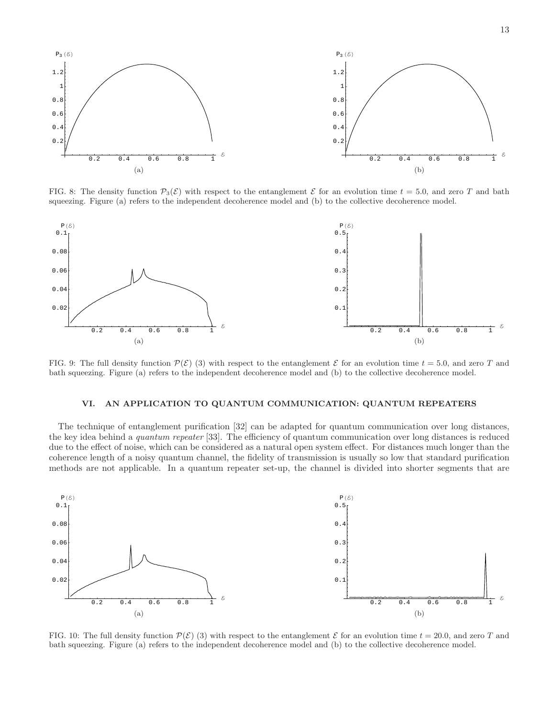

FIG. 8: The density function  $\mathcal{P}_3(\mathcal{E})$  with respect to the entanglement  $\mathcal E$  for an evolution time  $t = 5.0$ , and zero T and bath squeezing. Figure (a) refers to the independent decoherence model and (b) to the collective decoherence model.



FIG. 9: The full density function  $\mathcal{P}(\mathcal{E})$  (3) with respect to the entanglement  $\mathcal{E}$  for an evolution time  $t = 5.0$ , and zero T and bath squeezing. Figure (a) refers to the independent decoherence model and (b) to the collective decoherence model.

## VI. AN APPLICATION TO QUANTUM COMMUNICATION: QUANTUM REPEATERS

The technique of entanglement purification [32] can be adapted for quantum communication over long distances, the key idea behind a *quantum repeater* [33]. The efficiency of quantum communication over long distances is reduced due to the effect of noise, which can be considered as a natural open system effect. For distances much longer than the coherence length of a noisy quantum channel, the fidelity of transmission is usually so low that standard purification methods are not applicable. In a quantum repeater set-up, the channel is divided into shorter segments that are



FIG. 10: The full density function  $\mathcal{P}(\mathcal{E})$  (3) with respect to the entanglement  $\mathcal{E}$  for an evolution time  $t = 20.0$ , and zero T and bath squeezing. Figure (a) refers to the independent decoherence model and (b) to the collective decoherence model.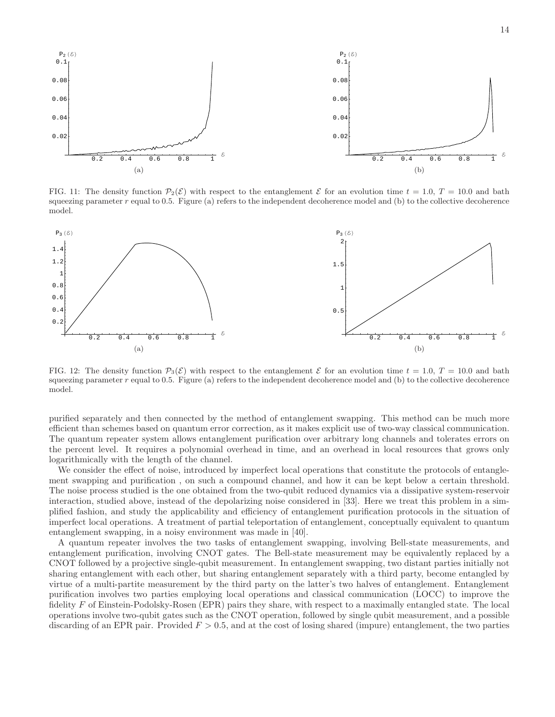

FIG. 11: The density function  $\mathcal{P}_2(\mathcal{E})$  with respect to the entanglement  $\mathcal{E}$  for an evolution time  $t = 1.0$ ,  $T = 10.0$  and bath squeezing parameter  $r$  equal to 0.5. Figure (a) refers to the independent decoherence model and (b) to the collective decoherence model.



FIG. 12: The density function  $\mathcal{P}_3(\mathcal{E})$  with respect to the entanglement  $\mathcal{E}$  for an evolution time  $t = 1.0$ ,  $T = 10.0$  and bath squeezing parameter  $r$  equal to 0.5. Figure (a) refers to the independent decoherence model and (b) to the collective decoherence model.

purified separately and then connected by the method of entanglement swapping. This method can be much more efficient than schemes based on quantum error correction, as it makes explicit use of two-way classical communication. The quantum repeater system allows entanglement purification over arbitrary long channels and tolerates errors on the percent level. It requires a polynomial overhead in time, and an overhead in local resources that grows only logarithmically with the length of the channel.

We consider the effect of noise, introduced by imperfect local operations that constitute the protocols of entanglement swapping and purification , on such a compound channel, and how it can be kept below a certain threshold. The noise process studied is the one obtained from the two-qubit reduced dynamics via a dissipative system-reservoir interaction, studied above, instead of the depolarizing noise considered in [33]. Here we treat this problem in a simplified fashion, and study the applicability and efficiency of entanglement purification protocols in the situation of imperfect local operations. A treatment of partial teleportation of entanglement, conceptually equivalent to quantum entanglement swapping, in a noisy environment was made in [40].

A quantum repeater involves the two tasks of entanglement swapping, involving Bell-state measurements, and entanglement purification, involving CNOT gates. The Bell-state measurement may be equivalently replaced by a CNOT followed by a projective single-qubit measurement. In entanglement swapping, two distant parties initially not sharing entanglement with each other, but sharing entanglement separately with a third party, become entangled by virtue of a multi-partite measurement by the third party on the latter's two halves of entanglement. Entanglement purification involves two parties employing local operations and classical communication (LOCC) to improve the fidelity F of Einstein-Podolsky-Rosen (EPR) pairs they share, with respect to a maximally entangled state. The local operations involve two-qubit gates such as the CNOT operation, followed by single qubit measurement, and a possible discarding of an EPR pair. Provided  $F > 0.5$ , and at the cost of losing shared (impure) entanglement, the two parties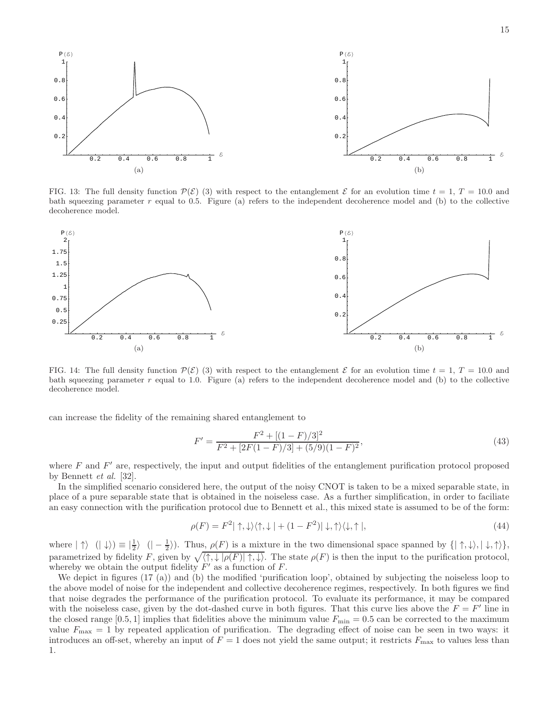

FIG. 13: The full density function  $\mathcal{P}(\mathcal{E})$  (3) with respect to the entanglement  $\mathcal{E}$  for an evolution time  $t = 1, T = 10.0$  and bath squeezing parameter  $r$  equal to 0.5. Figure (a) refers to the independent decoherence model and (b) to the collective decoherence model.



FIG. 14: The full density function  $\mathcal{P}(\mathcal{E})$  (3) with respect to the entanglement  $\mathcal{E}$  for an evolution time  $t = 1, T = 10.0$  and bath squeezing parameter  $r$  equal to 1.0. Figure (a) refers to the independent decoherence model and (b) to the collective decoherence model.

can increase the fidelity of the remaining shared entanglement to

$$
F' = \frac{F^2 + [(1 - F)/3]^2}{F^2 + [2F(1 - F)/3] + (5/9)(1 - F)^2},\tag{43}
$$

where  $F$  and  $F'$  are, respectively, the input and output fidelities of the entanglement purification protocol proposed by Bennett et al. [32].

In the simplified scenario considered here, the output of the noisy CNOT is taken to be a mixed separable state, in place of a pure separable state that is obtained in the noiseless case. As a further simplification, in order to faciliate an easy connection with the purification protocol due to Bennett et al., this mixed state is assumed to be of the form:

$$
\rho(F) = F^2 | \uparrow, \downarrow\rangle \langle \uparrow, \downarrow | + (1 - F^2) | \downarrow, \uparrow\rangle \langle \downarrow, \uparrow |,
$$
\n(44)

where  $|\uparrow\rangle$   $(|\downarrow\rangle) \equiv |\frac{1}{2}\rangle$   $(|-\frac{1}{2}\rangle)$ . Thus,  $\rho(F)$  is a mixture in the two dimensional space spanned by  $\{|\uparrow,\downarrow\rangle,|\downarrow,\uparrow\rangle\},$ parametrized by fidelity F, given by  $\sqrt{\langle \uparrow, \downarrow | \rho(F) | \uparrow, \downarrow \rangle}$ . The state  $\rho(F)$  is then the input to the purification protocol, whereby we obtain the output fidelity  $F'$  as a function of  $F$ .

We depict in figures (17 (a)) and (b) the modified 'purification loop', obtained by subjecting the noiseless loop to the above model of noise for the independent and collective decoherence regimes, respectively. In both figures we find that noise degrades the performance of the purification protocol. To evaluate its performance, it may be compared with the noiseless case, given by the dot-dashed curve in both figures. That this curve lies above the  $F = F'$  line in the closed range [0.5, 1] implies that fidelities above the minimum value  $F_{\text{min}} = 0.5$  can be corrected to the maximum value  $F_{\text{max}} = 1$  by repeated application of purification. The degrading effect of noise can be seen in two ways: it introduces an off-set, whereby an input of  $F = 1$  does not yield the same output; it restricts  $F_{\text{max}}$  to values less than 1.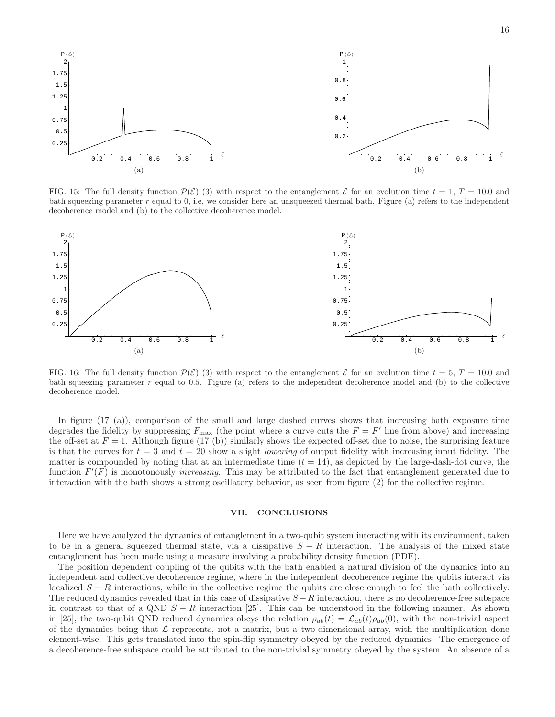

FIG. 15: The full density function  $\mathcal{P}(\mathcal{E})$  (3) with respect to the entanglement  $\mathcal{E}$  for an evolution time  $t = 1, T = 10.0$  and bath squeezing parameter  $r$  equal to 0, i.e, we consider here an unsqueezed thermal bath. Figure (a) refers to the independent decoherence model and (b) to the collective decoherence model.



FIG. 16: The full density function  $\mathcal{P}(\mathcal{E})$  (3) with respect to the entanglement  $\mathcal{E}$  for an evolution time  $t = 5$ ,  $T = 10.0$  and bath squeezing parameter r equal to 0.5. Figure (a) refers to the independent decoherence model and (b) to the collective decoherence model.

In figure (17 (a)), comparison of the small and large dashed curves shows that increasing bath exposure time degrades the fidelity by suppressing  $F_{\text{max}}$  (the point where a curve cuts the  $F = F'$  line from above) and increasing the off-set at  $F = 1$ . Although figure (17 (b)) similarly shows the expected off-set due to noise, the surprising feature is that the curves for  $t = 3$  and  $t = 20$  show a slight *lowering* of output fidelity with increasing input fidelity. The matter is compounded by noting that at an intermediate time  $(t = 14)$ , as depicted by the large-dash-dot curve, the function  $F'(F)$  is monotonously *increasing*. This may be attributed to the fact that entanglement generated due to interaction with the bath shows a strong oscillatory behavior, as seen from figure (2) for the collective regime.

### VII. CONCLUSIONS

Here we have analyzed the dynamics of entanglement in a two-qubit system interacting with its environment, taken to be in a general squeezed thermal state, via a dissipative  $S - R$  interaction. The analysis of the mixed state entanglement has been made using a measure involving a probability density function (PDF).

The position dependent coupling of the qubits with the bath enabled a natural division of the dynamics into an independent and collective decoherence regime, where in the independent decoherence regime the qubits interact via localized  $S - R$  interactions, while in the collective regime the qubits are close enough to feel the bath collectively. The reduced dynamics revealed that in this case of dissipative  $S - R$  interaction, there is no decoherence-free subspace in contrast to that of a QND  $S - R$  interaction [25]. This can be understood in the following manner. As shown in [25], the two-qubit QND reduced dynamics obeys the relation  $\rho_{ab}(t) = \mathcal{L}_{ab}(t)\rho_{ab}(0)$ , with the non-trivial aspect of the dynamics being that  $\mathcal L$  represents, not a matrix, but a two-dimensional array, with the multiplication done element-wise. This gets translated into the spin-flip symmetry obeyed by the reduced dynamics. The emergence of a decoherence-free subspace could be attributed to the non-trivial symmetry obeyed by the system. An absence of a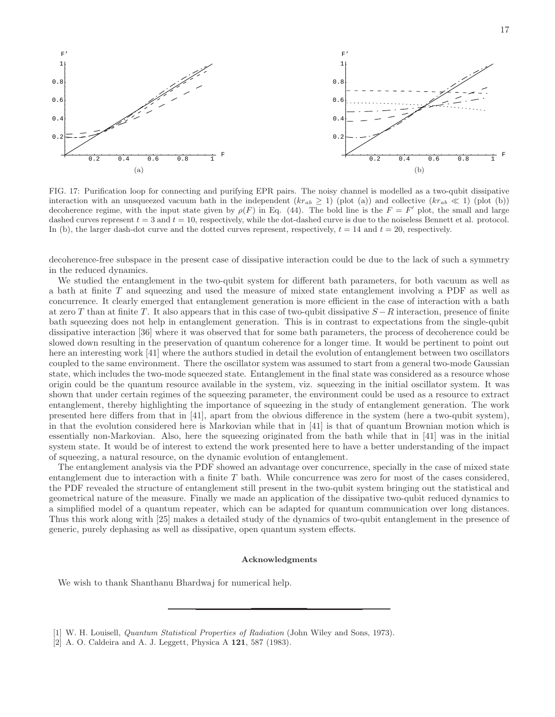

FIG. 17: Purification loop for connecting and purifying EPR pairs. The noisy channel is modelled as a two-qubit dissipative interaction with an unsqueezed vacuum bath in the independent  $(kr_{ab} \ge 1)$  (plot (a)) and collective  $(kr_{ab} \ll 1)$  (plot (b)) decoherence regime, with the input state given by  $\rho(F)$  in Eq. (44). The bold line is the  $F = F'$  plot, the small and large dashed curves represent  $t = 3$  and  $t = 10$ , respectively, while the dot-dashed curve is due to the noiseless Bennett et al. protocol. In (b), the larger dash-dot curve and the dotted curves represent, respectively,  $t = 14$  and  $t = 20$ , respectively.

decoherence-free subspace in the present case of dissipative interaction could be due to the lack of such a symmetry in the reduced dynamics.

We studied the entanglement in the two-qubit system for different bath parameters, for both vacuum as well as a bath at finite T and squeezing and used the measure of mixed state entanglement involving a PDF as well as concurrence. It clearly emerged that entanglement generation is more efficient in the case of interaction with a bath at zero T than at finite T. It also appears that in this case of two-qubit dissipative  $S - R$  interaction, presence of finite bath squeezing does not help in entanglement generation. This is in contrast to expectations from the single-qubit dissipative interaction [36] where it was observed that for some bath parameters, the process of decoherence could be slowed down resulting in the preservation of quantum coherence for a longer time. It would be pertinent to point out here an interesting work [41] where the authors studied in detail the evolution of entanglement between two oscillators coupled to the same environment. There the oscillator system was assumed to start from a general two-mode Gaussian state, which includes the two-mode squeezed state. Entanglement in the final state was considered as a resource whose origin could be the quantum resource available in the system, viz. squeezing in the initial oscillator system. It was shown that under certain regimes of the squeezing parameter, the environment could be used as a resource to extract entanglement, thereby highlighting the importance of squeezing in the study of entanglement generation. The work presented here differs from that in [41], apart from the obvious difference in the system (here a two-qubit system), in that the evolution considered here is Markovian while that in [41] is that of quantum Brownian motion which is essentially non-Markovian. Also, here the squeezing originated from the bath while that in [41] was in the initial system state. It would be of interest to extend the work presented here to have a better understanding of the impact of squeezing, a natural resource, on the dynamic evolution of entanglement.

The entanglement analysis via the PDF showed an advantage over concurrence, specially in the case of mixed state entanglement due to interaction with a finite T bath. While concurrence was zero for most of the cases considered, the PDF revealed the structure of entanglement still present in the two-qubit system bringing out the statistical and geometrical nature of the measure. Finally we made an application of the dissipative two-qubit reduced dynamics to a simplified model of a quantum repeater, which can be adapted for quantum communication over long distances. Thus this work along with [25] makes a detailed study of the dynamics of two-qubit entanglement in the presence of generic, purely dephasing as well as dissipative, open quantum system effects.

#### Acknowledgments

We wish to thank Shanthanu Bhardwaj for numerical help.

<sup>[1]</sup> W. H. Louisell, Quantum Statistical Properties of Radiation (John Wiley and Sons, 1973).

<sup>[2]</sup> A. O. Caldeira and A. J. Leggett, Physica A 121, 587 (1983).